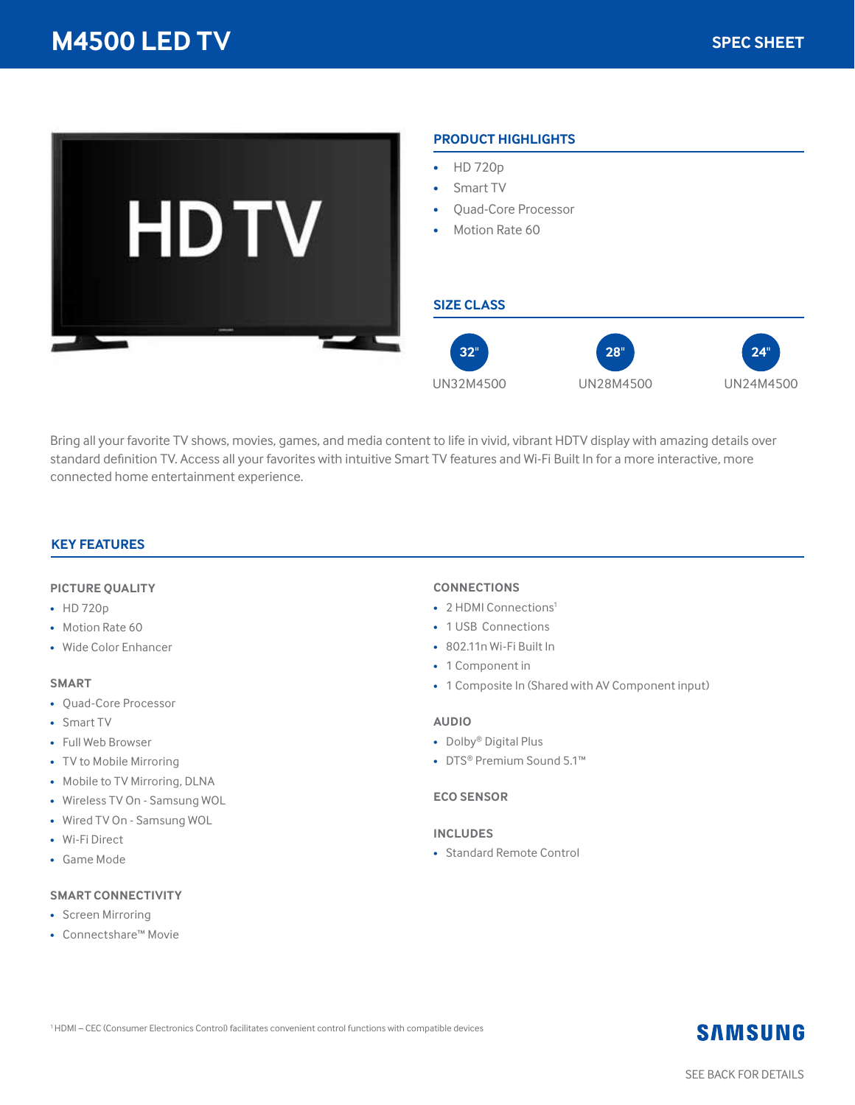

Bring all your favorite TV shows, movies, games, and media content to life in vivid, vibrant HDTV display with amazing details over standard definition TV. Access all your favorites with intuitive Smart TV features and Wi-Fi Built In for a more interactive, more connected home entertainment experience.

## **KEY FEATURES**

#### **PICTURE QUALITY**

- HD 720p
- Motion Rate 60
- Wide Color Enhancer

#### **SMART**

- Quad-Core Processor
- Smart TV
- Full Web Browser
- TV to Mobile Mirroring
- Mobile to TV Mirroring, DLNA
- Wireless TV On Samsung WOL
- Wired TV On Samsung WOL
- Wi-Fi Direct
- Game Mode

#### **SMART CONNECTIVITY**

- Screen Mirroring
- Connectshare™ Movie

## **CONNECTIONS**

- 2 HDMI Connections<sup>1</sup>
- 1 USB Connections
- 802.11n Wi-Fi Built In
- 1 Component in
- 1 Composite In (Shared with AV Component input)

#### **AUDIO**

- Dolby® Digital Plus
- DTS® Premium Sound 5.1™

## **ECO SENSOR**

#### **INCLUDES**

• Standard Remote Control

## **SAMSUNG**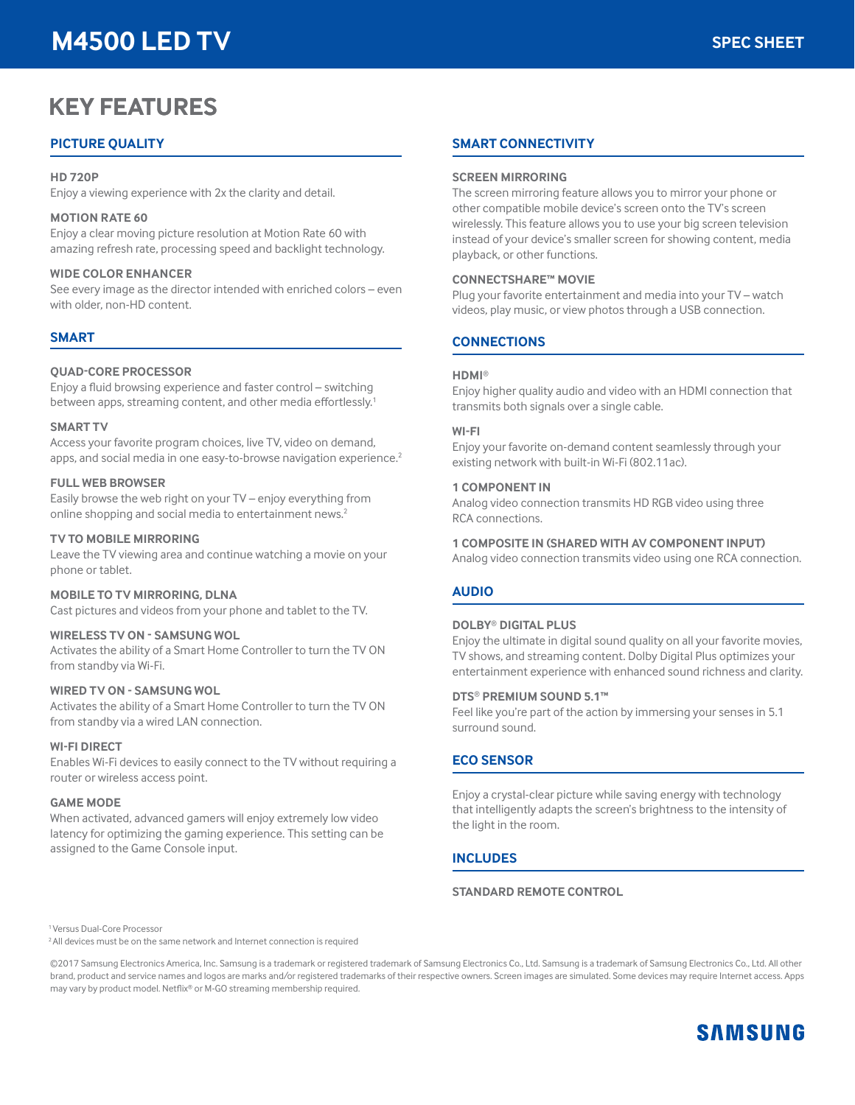# **M4500 LED TV**

# **KEY FEATURES**

## **PICTURE QUALITY**

#### **HD 720P**

Enjoy a viewing experience with 2x the clarity and detail.

## **MOTION RATE 60**

Enjoy a clear moving picture resolution at Motion Rate 60 with amazing refresh rate, processing speed and backlight technology.

## **WIDE COLOR ENHANCER**

See every image as the director intended with enriched colors – even with older, non-HD content.

## **SMART**

## **QUAD-CORE PROCESSOR**

Enjoy a fluid browsing experience and faster control – switching between apps, streaming content, and other media effortlessly.<sup>1</sup>

## **SMART TV**

Access your favorite program choices, live TV, video on demand, apps, and social media in one easy-to-browse navigation experience.<sup>2</sup>

## **FULL WEB BROWSER**

Easily browse the web right on your TV – enjoy everything from online shopping and social media to entertainment news.<sup>2</sup>

## **TV TO MOBILE MIRRORING**

Leave the TV viewing area and continue watching a movie on your phone or tablet.

## **MOBILE TO TV MIRRORING, DLNA**

Cast pictures and videos from your phone and tablet to the TV.

## **WIRELESS TV ON - SAMSUNG WOL**

Activates the ability of a Smart Home Controller to turn the TV ON from standby via Wi-Fi.

## **WIRED TV ON - SAMSUNG WOL**

Activates the ability of a Smart Home Controller to turn the TV ON from standby via a wired LAN connection.

## **WI-FI DIRECT**

Enables Wi-Fi devices to easily connect to the TV without requiring a router or wireless access point.

#### **GAME MODE**

When activated, advanced gamers will enjoy extremely low video latency for optimizing the gaming experience. This setting can be assigned to the Game Console input.

## **SMART CONNECTIVITY**

#### **SCREEN MIRRORING**

The screen mirroring feature allows you to mirror your phone or other compatible mobile device's screen onto the TV's screen wirelessly. This feature allows you to use your big screen television instead of your device's smaller screen for showing content, media playback, or other functions.

#### **CONNECTSHARE™ MOVIE**

Plug your favorite entertainment and media into your TV – watch videos, play music, or view photos through a USB connection.

## **CONNECTIONS**

## **HDMI**®

Enjoy higher quality audio and video with an HDMI connection that transmits both signals over a single cable.

#### **WI-FI**

Enjoy your favorite on-demand content seamlessly through your existing network with built-in Wi-Fi (802.11ac).

#### **1 COMPONENT IN**

Analog video connection transmits HD RGB video using three RCA connections.

#### **1 COMPOSITE IN (SHARED WITH AV COMPONENT INPUT)**

Analog video connection transmits video using one RCA connection.

## **AUDIO**

## **DOLBY**® **DIGITAL PLUS**

Enjoy the ultimate in digital sound quality on all your favorite movies, TV shows, and streaming content. Dolby Digital Plus optimizes your entertainment experience with enhanced sound richness and clarity.

#### **DTS**® **PREMIUM SOUND 5.1™**

Feel like you're part of the action by immersing your senses in 5.1 surround sound.

## **ECO SENSOR**

Enjoy a crystal-clear picture while saving energy with technology that intelligently adapts the screen's brightness to the intensity of the light in the room.

## **INCLUDES**

## **STANDARD REMOTE CONTROL**

1 Versus Dual-Core Processor

<sup>2</sup> All devices must be on the same network and Internet connection is required

©2017 Samsung Electronics America, Inc. Samsung is a trademark or registered trademark of Samsung Electronics Co., Ltd. Samsung is a trademark of Samsung Electronics Co., Ltd. All other brand, product and service names and logos are marks and/or registered trademarks of their respective owners. Screen images are simulated. Some devices may require Internet access. Apps may vary by product model. Netflix® or M-GO streaming membership required.

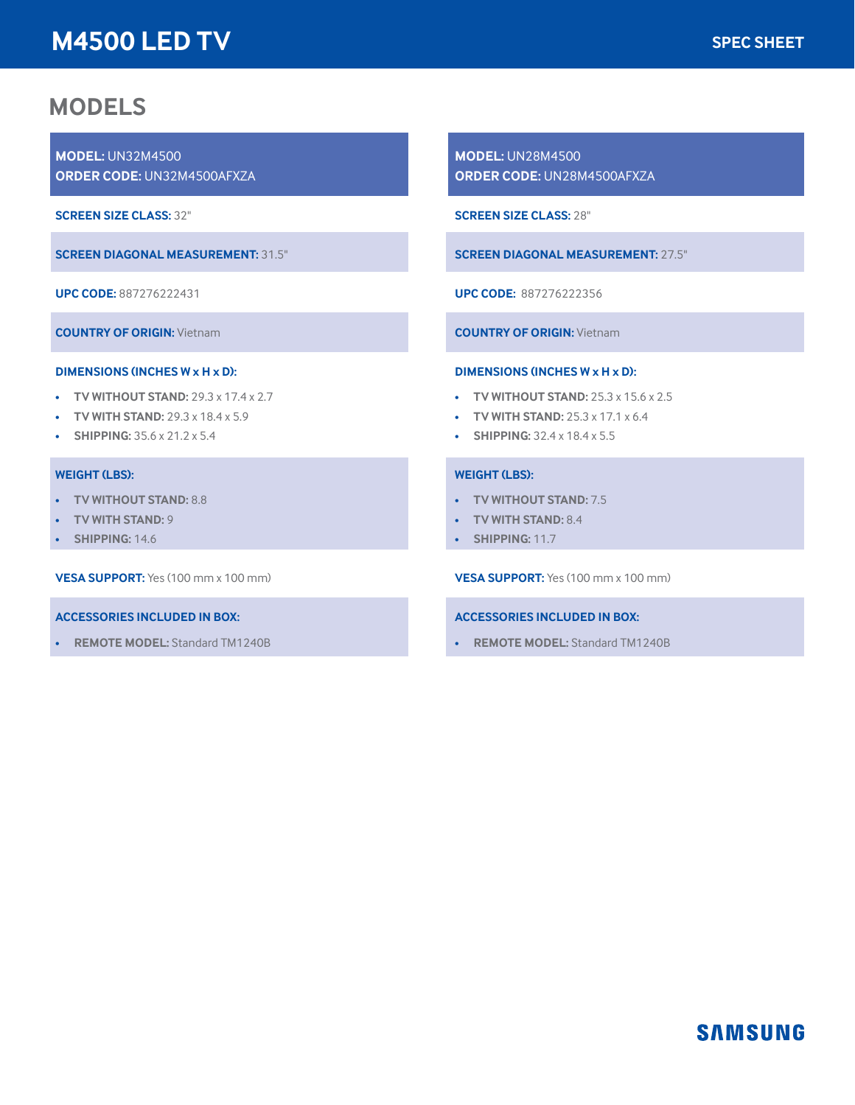# **M4500 LED TV**

## **MODELS**

**MODEL:** UN32M4500 **ORDER CODE:** UN32M4500AFXZA

**SCREEN SIZE CLASS:** 32"

**SCREEN DIAGONAL MEASUREMENT:** 31.5"

**UPC CODE:** 887276222431

**COUNTRY OF ORIGIN:** Vietnam

#### **DIMENSIONS (INCHES W x H x D):**

- **TV WITHOUT STAND:** 29.3 x 17.4 x 2.7
- **TV WITH STAND:** 29.3 x 18.4 x 5.9
- **SHIPPING:** 35.6 x 21.2 x 5.4

#### **WEIGHT (LBS):**

- **TV WITHOUT STAND:** 8.8
- **TV WITH STAND:** 9
- **SHIPPING:** 14.6

**VESA SUPPORT:** Yes (100 mm x 100 mm)

#### **ACCESSORIES INCLUDED IN BOX:**

• **REMOTE MODEL:** Standard TM1240B

**MODEL:** UN28M4500 **ORDER CODE:** UN28M4500AFXZA

**SCREEN SIZE CLASS:** 28"

**SCREEN DIAGONAL MEASUREMENT:** 27.5"

**UPC CODE:** 887276222356

**COUNTRY OF ORIGIN:** Vietnam

#### **DIMENSIONS (INCHES W x H x D):**

- **TV WITHOUT STAND:** 25.3 x 15.6 x 2.5
- **TV WITH STAND:** 25.3 x 17.1 x 6.4
- **SHIPPING:** 32.4 x 18.4 x 5.5

#### **WEIGHT (LBS):**

- **TV WITHOUT STAND:** 7.5
- **TV WITH STAND:** 8.4
- **SHIPPING:** 11.7

**VESA SUPPORT:** Yes (100 mm x 100 mm)

#### **ACCESSORIES INCLUDED IN BOX:**

• **REMOTE MODEL:** Standard TM1240B

## **SAMSUNG**